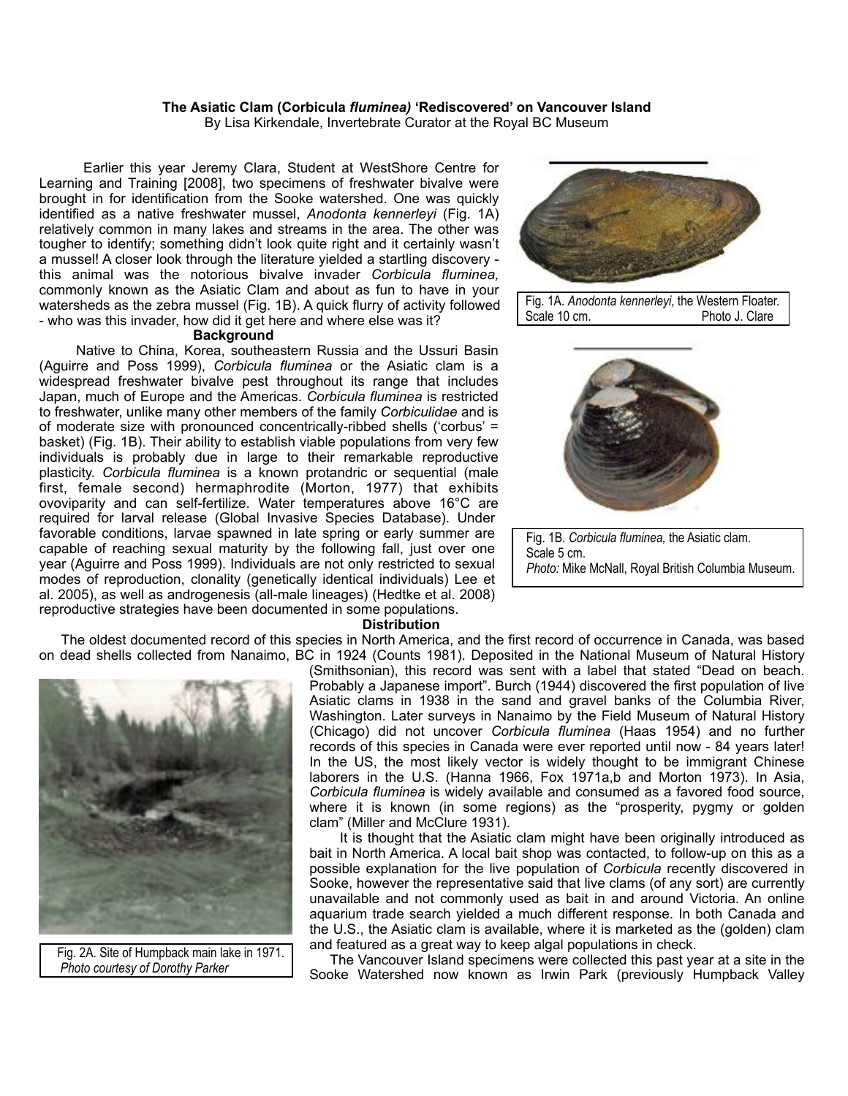# **The Asiatic Clam (Corbicula** *fluminea)* **'Rediscovered' on Vancouver Island**

By Lisa Kirkendale, Invertebrate Curator at the Royal BC Museum

 Earlier this year Jeremy Clara, Student at WestShore Centre for Learning and Training [2008], two specimens of freshwater bivalve were brought in for identification from the Sooke watershed. One was quickly identified as a native freshwater mussel, *Anodonta kennerleyi* (Fig. 1A) relatively common in many lakes and streams in the area. The other was tougher to identify; something didn't look quite right and it certainly wasn't a mussel! A closer look through the literature yielded a startling discovery this animal was the notorious bivalve invader *Corbicula fluminea,*  commonly known as the Asiatic Clam and about as fun to have in your watersheds as the zebra mussel (Fig. 1B). A quick flurry of activity followed - who was this invader, how did it get here and where else was it?

#### **Background**

 Native to China, Korea, southeastern Russia and the Ussuri Basin (Aguirre and Poss 1999), *Corbicula fluminea* or the Asiatic clam is a widespread freshwater bivalve pest throughout its range that includes Japan, much of Europe and the Americas. *Corbicula fluminea* is restricted to freshwater, unlike many other members of the family *Corbiculidae* and is of moderate size with pronounced concentrically-ribbed shells ('corbus' = basket) (Fig. 1B). Their ability to establish viable populations from very few individuals is probably due in large to their remarkable reproductive plasticity. *Corbicula fluminea* is a known protandric or sequential (male first, female second) hermaphrodite (Morton, 1977) that exhibits ovoviparity and can self-fertilize. Water temperatures above 16°C are required for larval release (Global Invasive Species Database). Under favorable conditions, larvae spawned in late spring or early summer are capable of reaching sexual maturity by the following fall, just over one year (Aguirre and Poss 1999). Individuals are not only restricted to sexual modes of reproduction, clonality (genetically identical individuals) Lee et al. 2005), as well as androgenesis (all-male lineages) (Hedtke et al. 2008) reproductive strategies have been documented in some populations.



 Fig. 1A. *Anodonta kennerleyi*, the Western Floater. Photo J. Clare



 Fig. 1B. *Corbicula fluminea,* the Asiatic clam. Scale 5 cm. *Photo:* Mike McNall, Royal British Columbia Museum.

#### **Distribution**

 The oldest documented record of this species in North America, and the first record of occurrence in Canada, was based on dead shells collected from Nanaimo, BC in 1924 (Counts 1981). Deposited in the National Museum of Natural History



 Fig. 2A. Site of Humpback main lake in 1971.  *Photo courtesy of Dorothy Parker*

(Smithsonian), this record was sent with a label that stated "Dead on beach. Probably a Japanese import". Burch (1944) discovered the first population of live Asiatic clams in 1938 in the sand and gravel banks of the Columbia River, Washington. Later surveys in Nanaimo by the Field Museum of Natural History (Chicago) did not uncover *Corbicula fluminea* (Haas 1954) and no further records of this species in Canada were ever reported until now - 84 years later! In the US, the most likely vector is widely thought to be immigrant Chinese laborers in the U.S. (Hanna 1966, Fox 1971a,b and Morton 1973). In Asia, *Corbicula fluminea* is widely available and consumed as a favored food source, where it is known (in some regions) as the "prosperity, pygmy or golden clam" (Miller and McClure 1931).

 It is thought that the Asiatic clam might have been originally introduced as bait in North America. A local bait shop was contacted, to follow-up on this as a possible explanation for the live population of *Corbicula* recently discovered in Sooke, however the representative said that live clams (of any sort) are currently unavailable and not commonly used as bait in and around Victoria. An online aquarium trade search yielded a much different response. In both Canada and the U.S., the Asiatic clam is available, where it is marketed as the (golden) clam and featured as a great way to keep algal populations in check.

 The Vancouver Island specimens were collected this past year at a site in the Sooke Watershed now known as Irwin Park (previously Humpback Valley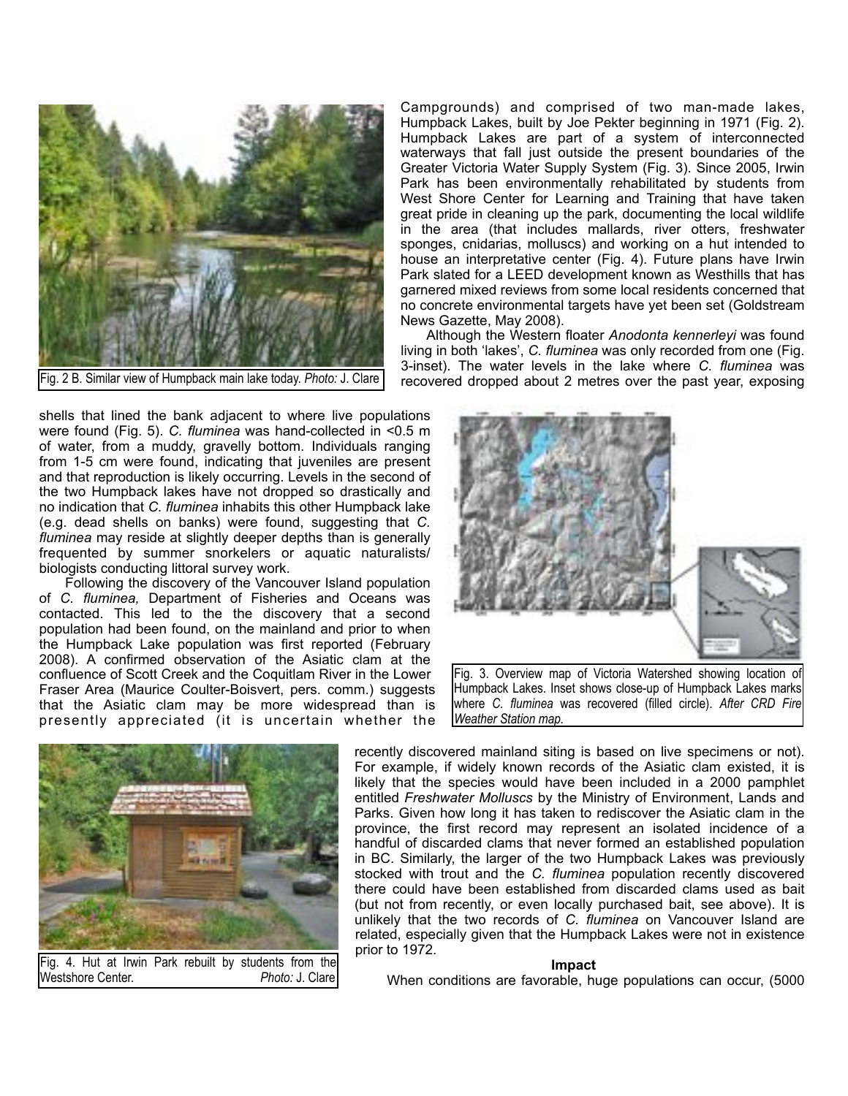

Fig. 2 B. Similar view of Humpback main lake today. *Photo:* J. Clare

shells that lined the bank adjacent to where live populations were found (Fig. 5). *C. fluminea* was hand-collected in <0.5 m of water, from a muddy, gravelly bottom. Individuals ranging from 1-5 cm were found, indicating that juveniles are present and that reproduction is likely occurring. Levels in the second of the two Humpback lakes have not dropped so drastically and no indication that *C. fluminea* inhabits this other Humpback lake (e.g. dead shells on banks) were found, suggesting that *C. fluminea* may reside at slightly deeper depths than is generally frequented by summer snorkelers or aquatic naturalists/ biologists conducting littoral survey work.

 Following the discovery of the Vancouver Island population of *C. fluminea,* Department of Fisheries and Oceans was contacted. This led to the the discovery that a second population had been found, on the mainland and prior to when the Humpback Lake population was first reported (February 2008). A confirmed observation of the Asiatic clam at the confluence of Scott Creek and the Coquitlam River in the Lower Fraser Area (Maurice Coulter-Boisvert, pers. comm.) suggests that the Asiatic clam may be more widespread than is presently appreciated (it is uncertain whether the

Campgrounds) and comprised of two man-made lakes, Humpback Lakes, built by Joe Pekter beginning in 1971 (Fig. 2). Humpback Lakes are part of a system of interconnected waterways that fall just outside the present boundaries of the Greater Victoria Water Supply System (Fig. 3). Since 2005, Irwin Park has been environmentally rehabilitated by students from West Shore Center for Learning and Training that have taken great pride in cleaning up the park, documenting the local wildlife in the area (that includes mallards, river otters, freshwater sponges, cnidarias, molluscs) and working on a hut intended to house an interpretative center (Fig. 4). Future plans have Irwin Park slated for a LEED development known as Westhills that has garnered mixed reviews from some local residents concerned that no concrete environmental targets have yet been set (Goldstream News Gazette, May 2008).

 Although the Western floater *Anodonta kennerleyi* was found living in both 'lakes', *C. fluminea* was only recorded from one (Fig. 3-inset). The water levels in the lake where *C. fluminea* was recovered dropped about 2 metres over the past year, exposing



Fig. 3. Overview map of Victoria Watershed showing location of Humpback Lakes. Inset shows close-up of Humpback Lakes marks where *C. fluminea* was recovered (filled circle). *After CRD Fire Weather Station map.*



Fig. 4. Hut at Irwin Park rebuilt by students from the Westshore Center. *Photo: J. Clare* 

recently discovered mainland siting is based on live specimens or not). For example, if widely known records of the Asiatic clam existed, it is likely that the species would have been included in a 2000 pamphlet entitled *Freshwater Molluscs* by the Ministry of Environment, Lands and Parks. Given how long it has taken to rediscover the Asiatic clam in the province, the first record may represent an isolated incidence of a handful of discarded clams that never formed an established population in BC. Similarly, the larger of the two Humpback Lakes was previously stocked with trout and the *C. fluminea* population recently discovered there could have been established from discarded clams used as bait (but not from recently, or even locally purchased bait, see above). It is unlikely that the two records of *C. fluminea* on Vancouver Island are related, especially given that the Humpback Lakes were not in existence prior to 1972.

## **Impact**

When conditions are favorable, huge populations can occur, (5000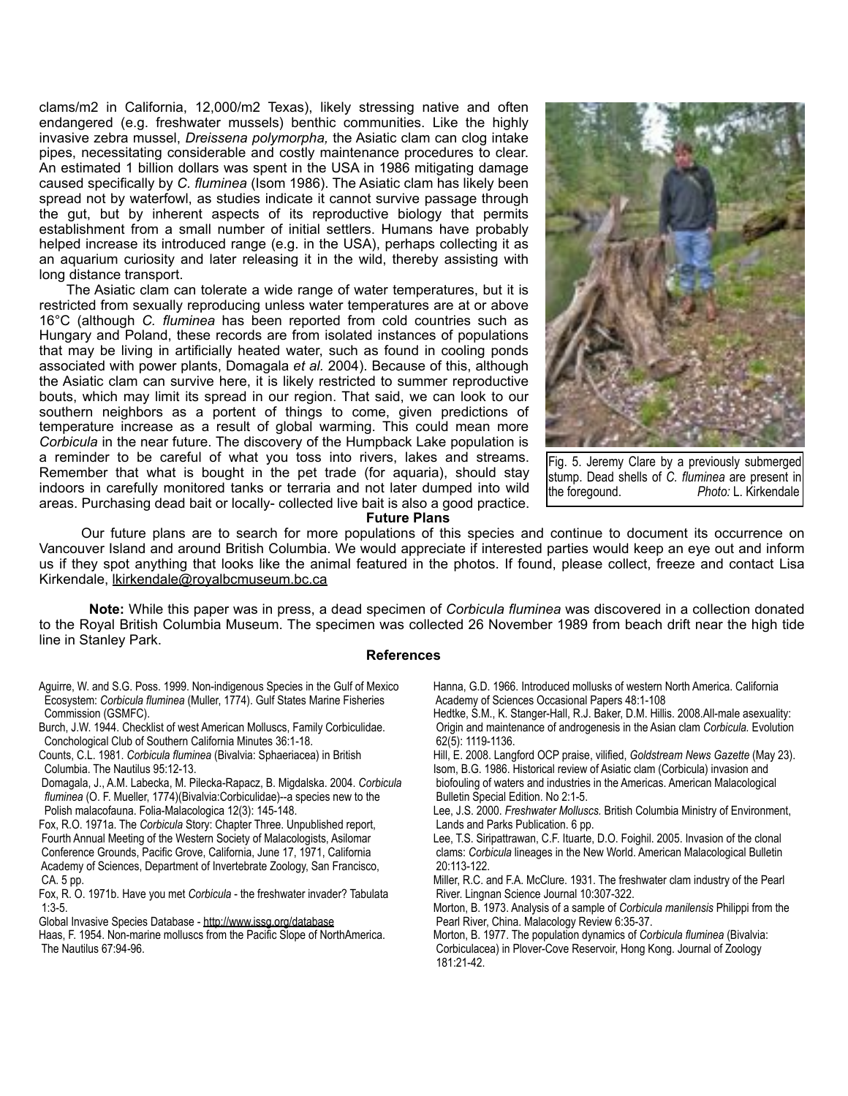clams/m2 in California, 12,000/m2 Texas), likely stressing native and often endangered (e.g. freshwater mussels) benthic communities. Like the highly invasive zebra mussel, *Dreissena polymorpha,* the Asiatic clam can clog intake pipes, necessitating considerable and costly maintenance procedures to clear. An estimated 1 billion dollars was spent in the USA in 1986 mitigating damage caused specifically by *C. fluminea* (Isom 1986). The Asiatic clam has likely been spread not by waterfowl, as studies indicate it cannot survive passage through the gut, but by inherent aspects of its reproductive biology that permits establishment from a small number of initial settlers. Humans have probably helped increase its introduced range (e.g. in the USA), perhaps collecting it as an aquarium curiosity and later releasing it in the wild, thereby assisting with long distance transport.

 The Asiatic clam can tolerate a wide range of water temperatures, but it is restricted from sexually reproducing unless water temperatures are at or above 16°C (although *C. fluminea* has been reported from cold countries such as Hungary and Poland, these records are from isolated instances of populations that may be living in artificially heated water, such as found in cooling ponds associated with power plants, Domagala *et al.* 2004). Because of this, although the Asiatic clam can survive here, it is likely restricted to summer reproductive bouts, which may limit its spread in our region. That said, we can look to our southern neighbors as a portent of things to come, given predictions of temperature increase as a result of global warming. This could mean more *Corbicula* in the near future. The discovery of the Humpback Lake population is a reminder to be careful of what you toss into rivers, lakes and streams. Remember that what is bought in the pet trade (for aquaria), should stay indoors in carefully monitored tanks or terraria and not later dumped into wild areas. Purchasing dead bait or locally- collected live bait is also a good practice.



Fig. 5. Jeremy Clare by a previously submerged stump. Dead shells of *C. fluminea* are present in the foregound. *Photo:* L. Kirkendale

### **Future Plans**

 Our future plans are to search for more populations of this species and continue to document its occurrence on Vancouver Island and around British Columbia. We would appreciate if interested parties would keep an eye out and inform us if they spot anything that looks like the animal featured in the photos. If found, please collect, freeze and contact Lisa Kirkendale, [lkirkendale@royalbcmuseum.bc.ca](mailto:lkirkendale@royalbcmuseum.bc.ca)

**Note:** While this paper was in press, a dead specimen of *Corbicula fluminea* was discovered in a collection donated to the Royal British Columbia Museum. The specimen was collected 26 November 1989 from beach drift near the high tide line in Stanley Park.

## **References**

- Aguirre, W. and S.G. Poss. 1999. Non-indigenous Species in the Gulf of Mexico Ecosystem: *Corbicula fluminea* (Muller, 1774). Gulf States Marine Fisheries Commission (GSMFC).
- Burch, J.W. 1944. Checklist of west American Molluscs, Family Corbiculidae. Conchological Club of Southern California Minutes 36:1-18.

Counts, C.L. 1981. *Corbicula fluminea* (Bivalvia: Sphaeriacea) in British Columbia. The Nautilus 95:12-13.

 Domagala, J., A.M. Labecka, M. Pilecka-Rapacz, B. Migdalska. 2004. *Corbicula fluminea* (O. F. Mueller, 1774)(Bivalvia:Corbiculidae)--a species new to the Polish malacofauna. Folia-Malacologica 12(3): 145-148.

Fox, R.O. 1971a. The *Corbicula* Story: Chapter Three. Unpublished report, Fourth Annual Meeting of the Western Society of Malacologists, Asilomar Conference Grounds, Pacific Grove, California, June 17, 1971, California Academy of Sciences, Department of Invertebrate Zoology, San Francisco, CA. 5 pp.

Fox, R. O. 1971b. Have you met *Corbicula* - the freshwater invader? Tabulata 1:3-5.

Global Invasive Species Database -<http://www.issg.org/database>

Haas, F. 1954. Non-marine molluscs from the Pacific Slope of NorthAmerica. The Nautilus 67:94-96.

Hanna, G.D. 1966. Introduced mollusks of western North America. California Academy of Sciences Occasional Papers 48:1-108

Hedtke, S.M., K. Stanger-Hall, R.J. Baker, D.M. Hillis. 2008.All-male asexuality: Origin and maintenance of androgenesis in the Asian clam *Corbicula.* Evolution 62(5): 1119-1136.

Hill, E. 2008. Langford OCP praise, vilified, *Goldstream News Gazette* (May 23). Isom, B.G. 1986. Historical review of Asiatic clam (Corbicula) invasion and biofouling of waters and industries in the Americas. American Malacological Bulletin Special Edition. No 2:1-5.

Lee, J.S. 2000. *Freshwater Molluscs.* British Columbia Ministry of Environment, Lands and Parks Publication. 6 pp.

Lee, T.S. Siripattrawan, C.F. Ituarte, D.O. Foighil. 2005. Invasion of the clonal clams: *Corbicula* lineages in the New World. American Malacological Bulletin 20:113-122.

Miller, R.C. and F.A. McClure. 1931. The freshwater clam industry of the Pearl River. Lingnan Science Journal 10:307-322.

Morton, B. 1973. Analysis of a sample of *Corbicula manilensis* Philippi from the Pearl River, China. Malacology Review 6:35-37.

Morton, B. 1977. The population dynamics of *Corbicula fluminea* (Bivalvia: Corbiculacea) in Plover-Cove Reservoir, Hong Kong. Journal of Zoology 181:21-42.